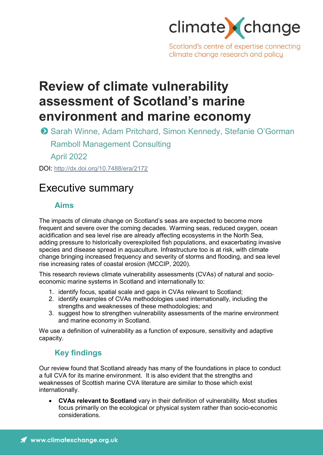

Scotland's centre of expertise connecting climate change research and policy

# **Review of climate vulnerability assessment of Scotland's marine environment and marine economy**

April 2022

DOI: <http://dx.doi.org/10.7488/era/2172>

## Executive summary

## **Aims**

The impacts of climate change on Scotland's seas are expected to become more frequent and severe over the coming decades. Warming seas, reduced oxygen, ocean acidification and sea level rise are already affecting ecosystems in the North Sea, adding pressure to historically overexploited fish populations, and exacerbating invasive species and disease spread in aquaculture. Infrastructure too is at risk, with climate change bringing increased frequency and severity of storms and flooding, and sea level rise increasing rates of coastal erosion (MCCIP, 2020).

This research reviews climate vulnerability assessments (CVAs) of natural and socioeconomic marine systems in Scotland and internationally to:

- 1. identify focus, spatial scale and gaps in CVAs relevant to Scotland;
- 2. identify examples of CVAs methodologies used internationally, including the strengths and weaknesses of these methodologies; and
- 3. suggest how to strengthen vulnerability assessments of the marine environment and marine economy in Scotland.

We use a definition of vulnerability as a function of exposure, sensitivity and adaptive capacity.

## **Key findings**

Our review found that Scotland already has many of the foundations in place to conduct a full CVA for its marine environment. It is also evident that the strengths and weaknesses of Scottish marine CVA literature are similar to those which exist internationally.

• **CVAs relevant to Scotland** vary in their definition of vulnerability. Most studies focus primarily on the ecological or physical system rather than socio-economic considerations.

**O** Sarah Winne, Adam Pritchard, Simon Kennedy, Stefanie O'Gorman Ramboll Management Consulting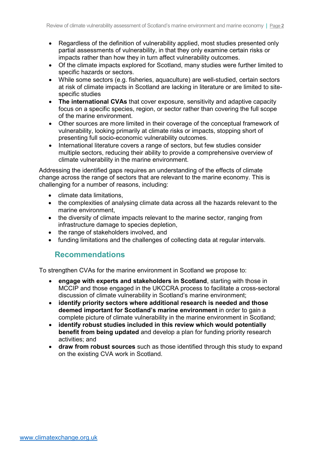- Regardless of the definition of vulnerability applied, most studies presented only partial assessments of vulnerability, in that they only examine certain risks or impacts rather than how they in turn affect vulnerability outcomes.
- Of the climate impacts explored for Scotland, many studies were further limited to specific hazards or sectors.
- While some sectors (e.g. fisheries, aquaculture) are well-studied, certain sectors at risk of climate impacts in Scotland are lacking in literature or are limited to sitespecific studies
- **The international CVAs** that cover exposure, sensitivity and adaptive capacity focus on a specific species, region, or sector rather than covering the full scope of the marine environment.
- Other sources are more limited in their coverage of the conceptual framework of vulnerability, looking primarily at climate risks or impacts, stopping short of presenting full socio-economic vulnerability outcomes.
- International literature covers a range of sectors, but few studies consider multiple sectors, reducing their ability to provide a comprehensive overview of climate vulnerability in the marine environment.

Addressing the identified gaps requires an understanding of the effects of climate change across the range of sectors that are relevant to the marine economy. This is challenging for a number of reasons, including:

- climate data limitations,
- the complexities of analysing climate data across all the hazards relevant to the marine environment,
- the diversity of climate impacts relevant to the marine sector, ranging from infrastructure damage to species depletion,
- the range of stakeholders involved, and
- funding limitations and the challenges of collecting data at regular intervals.

## **Recommendations**

To strengthen CVAs for the marine environment in Scotland we propose to:

- **engage with experts and stakeholders in Scotland**, starting with those in MCCIP and those engaged in the UKCCRA process to facilitate a cross-sectoral discussion of climate vulnerability in Scotland's marine environment;
- **identify priority sectors where additional research is needed and those deemed important for Scotland's marine environment** in order to gain a complete picture of climate vulnerability in the marine environment in Scotland;
- **identify robust studies included in this review which would potentially benefit from being updated** and develop a plan for funding priority research activities; and
- **draw from robust sources** such as those identified through this study to expand on the existing CVA work in Scotland.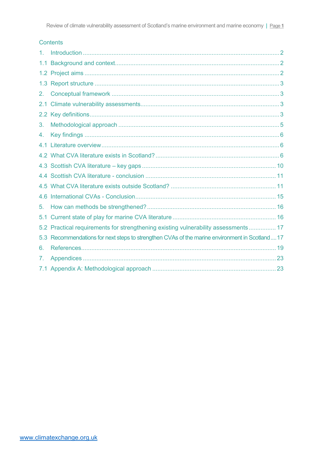## Contents

| 1.  |                                                                                             |
|-----|---------------------------------------------------------------------------------------------|
| 1.1 |                                                                                             |
|     |                                                                                             |
| 1.3 |                                                                                             |
| 2.  |                                                                                             |
| 2.1 |                                                                                             |
|     |                                                                                             |
| 3.  |                                                                                             |
| 4.  |                                                                                             |
|     |                                                                                             |
|     |                                                                                             |
|     |                                                                                             |
|     |                                                                                             |
|     |                                                                                             |
| 4.6 |                                                                                             |
| 5.  |                                                                                             |
| 5.1 |                                                                                             |
|     | 5.2 Practical requirements for strengthening existing vulnerability assessments 17          |
| 5.3 | Recommendations for next steps to strengthen CVAs of the marine environment in Scotland  17 |
| 6.  |                                                                                             |
| 7.  |                                                                                             |
|     |                                                                                             |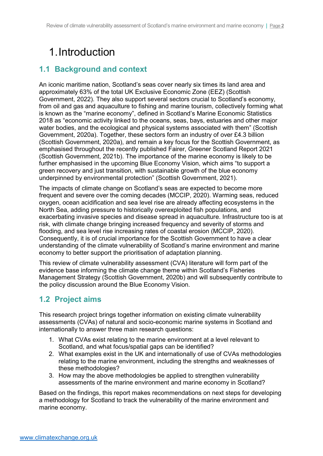# 1.Introduction

## **1.1 Background and context**

An iconic maritime nation, Scotland's seas cover nearly six times its land area and approximately 63% of the total UK Exclusive Economic Zone (EEZ) (Scottish Government, 2022). They also support several sectors crucial to Scotland's economy, from oil and gas and aquaculture to fishing and marine tourism, collectively forming what is known as the "marine economy", defined in Scotland's Marine Economic Statistics 2018 as "economic activity linked to the oceans, seas, bays, estuaries and other major water bodies, and the ecological and physical systems associated with them" (Scottish Government, 2020a). Together, these sectors form an industry of over £4.3 billion (Scottish Government, 2020a), and remain a key focus for the Scottish Government, as emphasised throughout the recently published Fairer, Greener Scotland Report 2021 (Scottish Government, 2021b). The importance of the marine economy is likely to be further emphasised in the upcoming Blue Economy Vision, which aims "to support a green recovery and just transition, with sustainable growth of the blue economy underpinned by environmental protection" (Scottish Government, 2021).

The impacts of climate change on Scotland's seas are expected to become more frequent and severe over the coming decades (MCCIP, 2020). Warming seas, reduced oxygen, ocean acidification and sea level rise are already affecting ecosystems in the North Sea, adding pressure to historically overexploited fish populations, and exacerbating invasive species and disease spread in aquaculture. Infrastructure too is at risk, with climate change bringing increased frequency and severity of storms and flooding, and sea level rise increasing rates of coastal erosion (MCCIP, 2020). Consequently, it is of crucial importance for the Scottish Government to have a clear understanding of the climate vulnerability of Scotland's marine environment and marine economy to better support the prioritisation of adaptation planning.

This review of climate vulnerability assessment (CVA) literature will form part of the evidence base informing the climate change theme within Scotland's Fisheries Management Strategy (Scottish Government, 2020b) and will subsequently contribute to the policy discussion around the Blue Economy Vision.

## **1.2 Project aims**

This research project brings together information on existing climate vulnerability assessments (CVAs) of natural and socio-economic marine systems in Scotland and internationally to answer three main research questions:

- 1. What CVAs exist relating to the marine environment at a level relevant to Scotland, and what focus/spatial gaps can be identified?
- 2. What examples exist in the UK and internationally of use of CVAs methodologies relating to the marine environment, including the strengths and weaknesses of these methodologies?
- 3. How may the above methodologies be applied to strengthen vulnerability assessments of the marine environment and marine economy in Scotland?

Based on the findings, this report makes recommendations on next steps for developing a methodology for Scotland to track the vulnerability of the marine environment and marine economy.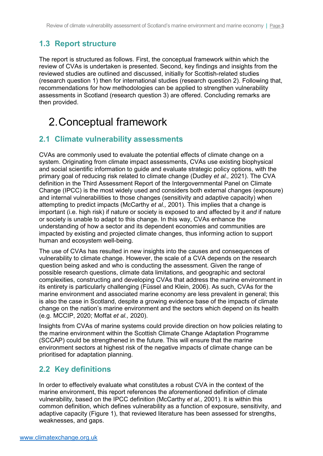## **1.3 Report structure**

The report is structured as follows. First, the conceptual framework within which the review of CVAs is undertaken is presented. Second, key findings and insights from the reviewed studies are outlined and discussed, initially for Scottish-related studies (research question 1) then for international studies (research question 2). Following that, recommendations for how methodologies can be applied to strengthen vulnerability assessments in Scotland (research question 3) are offered. Concluding remarks are then provided.

# 2.Conceptual framework

## **2.1 Climate vulnerability assessments**

CVAs are commonly used to evaluate the potential effects of climate change on a system. Originating from climate impact assessments, CVAs use existing biophysical and social scientific information to guide and evaluate strategic policy options, with the primary goal of reducing risk related to climate change (Dudley *et al.,* 2021). The CVA definition in the Third Assessment Report of the Intergovernmental Panel on Climate Change (IPCC) is the most widely used and considers both external changes (exposure) and internal vulnerabilities to those changes (sensitivity and adaptive capacity) when attempting to predict impacts (McCarthy *et al.,* 2001). This implies that a change is important (i.e. high risk) if nature or society is exposed to and affected by it *and* if nature or society is unable to adapt to this change. In this way, CVAs enhance the understanding of how a sector and its dependent economies and communities are impacted by existing and projected climate changes, thus informing action to support human and ecosystem well-being.

The use of CVAs has resulted in new insights into the causes and consequences of vulnerability to climate change. However, the scale of a CVA depends on the research question being asked and who is conducting the assessment. Given the range of possible research questions, climate data limitations, and geographic and sectoral complexities, constructing and developing CVAs that address the marine environment in its entirety is particularly challenging (Füssel and Klein, 2006). As such, CVAs for the marine environment and associated marine economy are less prevalent in general; this is also the case in Scotland, despite a growing evidence base of the impacts of climate change on the nation's marine environment and the sectors which depend on its health (e.g. MCCIP, 2020; Moffat *et al.,* 2020).

Insights from CVAs of marine systems could provide direction on how policies relating to the marine environment within the Scottish Climate Change Adaptation Programme (SCCAP) could be strengthened in the future. This will ensure that the marine environment sectors at highest risk of the negative impacts of climate change can be prioritised for adaptation planning.

## **2.2 Key definitions**

In order to effectively evaluate what constitutes a robust CVA in the context of the marine environment, this report references the aforementioned definition of climate vulnerability, based on the IPCC definition (McCarthy *et al.,* 2001). It is within this common definition, which defines vulnerability as a function of exposure, sensitivity, and adaptive capacity [\(Figure 1\)](#page-5-0), that reviewed literature has been assessed for strengths, weaknesses, and gaps.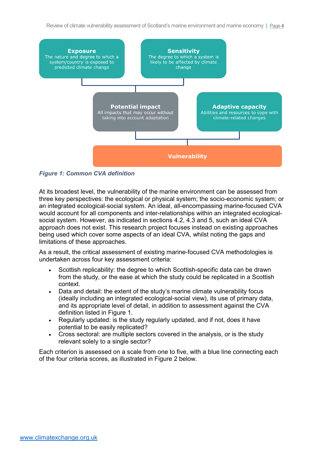Review of climate vulnerability assessment of Scotland's marine environment and marine economy | Page **4**



<span id="page-5-0"></span>*Figure 1: Common CVA definition*

At its broadest level, the vulnerability of the marine environment can be assessed from three key perspectives: the ecological or physical system; the socio-economic system; or an integrated ecological-social system. An ideal, all-encompassing marine-focused CVA would account for all components and inter-relationships within an integrated ecologicalsocial system. However, as indicated in sections 4.2, 4.3 and 5, such an ideal CVA approach does not exist. This research project focuses instead on existing approaches being used which cover some aspects of an ideal CVA, whilst noting the gaps and limitations of these approaches.

As a result, the critical assessment of existing marine-focused CVA methodologies is undertaken across four key assessment criteria:

- Scottish replicability: the degree to which Scottish-specific data can be drawn from the study, or the ease at which the study could be replicated in a Scottish context.
- Data and detail: the extent of the study's marine climate vulnerability focus (ideally including an integrated ecological-social view), its use of primary data, and its appropriate level of detail, in addition to assessment against the CVA definition listed in [Figure 1.](#page-5-0)
- Regularly updated: is the study regularly updated, and if not, does it have potential to be easily replicated?
- Cross sectoral: are multiple sectors covered in the analysis, or is the study relevant solely to a single sector?

Each criterion is assessed on a scale from one to five, with a blue line connecting each of the four criteria scores, as illustrated in [Figure 2](#page-6-0) below.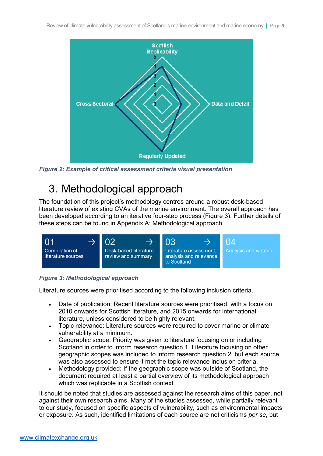

<span id="page-6-0"></span>*Figure 2: Example of critical assessment criteria visual presentation*

# 3. Methodological approach

The foundation of this project's methodology centres around a robust desk-based literature review of existing CVAs of the marine environment. The overall approach has been developed according to an iterative four-step process [\(Figure 3\)](#page-6-1). Further details of these steps can be found in [Appendix A: Methodological approach.](#page-24-0)



## <span id="page-6-1"></span>*Figure 3: Methodological approach*

Literature sources were prioritised according to the following inclusion criteria.

- Date of publication: Recent literature sources were prioritised, with a focus on 2010 onwards for Scottish literature, and 2015 onwards for international literature, unless considered to be highly relevant.
- Topic relevance: Literature sources were required to cover marine or climate vulnerability at a minimum.
- Geographic scope: Priority was given to literature focusing on or including Scotland in order to inform research question 1. Literature focusing on other geographic scopes was included to inform research question 2, but each source was also assessed to ensure it met the topic relevance inclusion criteria.
- Methodology provided: If the geographic scope was outside of Scotland, the document required at least a partial overview of its methodological approach which was replicable in a Scottish context.

It should be noted that studies are assessed against the research aims of this paper, not against their own research aims. Many of the studies assessed, while partially relevant to our study, focused on specific aspects of vulnerability, such as environmental impacts or exposure. As such, identified limitations of each source are not criticisms *per se*, but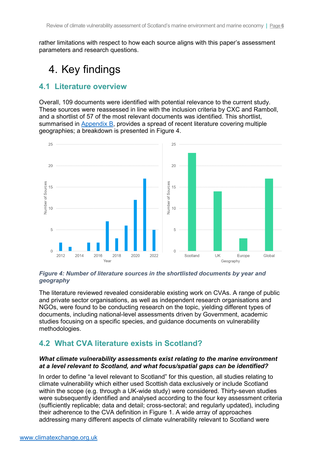rather limitations with respect to how each source aligns with this paper's assessment parameters and research questions.

# 4. Key findings

## **4.1 Literature overview**

Overall, 109 documents were identified with potential relevance to the current study. These sources were reassessed in line with the inclusion criteria by CXC and Ramboll, and a shortlist of 57 of the most relevant documents was identified. This shortlist, summarised in [Appendix B,](https://www.climatexchange.org.uk/umbraco/#/media/media/edit/10843) provides a spread of recent literature covering multiple geographies; a breakdown is presented in [Figure 4.](#page-7-0)



#### <span id="page-7-0"></span>*Figure 4: Number of literature sources in the shortlisted documents by year and geography*

The literature reviewed revealed considerable existing work on CVAs. A range of public and private sector organisations, as well as independent research organisations and NGOs, were found to be conducting research on the topic, yielding different types of documents, including national-level assessments driven by Government, academic studies focusing on a specific species, and guidance documents on vulnerability methodologies.

## **4.2 What CVA literature exists in Scotland?**

### *What climate vulnerability assessments exist relating to the marine environment at a level relevant to Scotland, and what focus/spatial gaps can be identified?*

In order to define "a level relevant to Scotland" for this question, all studies relating to climate vulnerability which either used Scottish data exclusively or include Scotland within the scope (e.g. through a UK-wide study) were considered. Thirty-seven studies were subsequently identified and analysed according to the four key assessment criteria (sufficiently replicable; data and detail; cross-sectoral; and regularly updated), including their adherence to the CVA definition in [Figure 1.](#page-5-0) A wide array of approaches addressing many different aspects of climate vulnerability relevant to Scotland were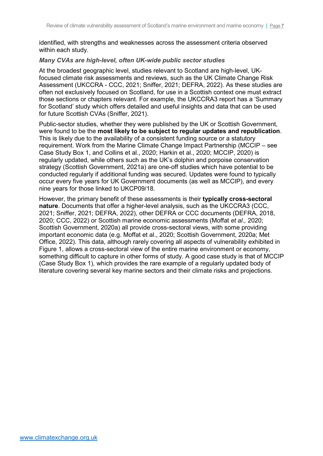identified, with strengths and weaknesses across the assessment criteria observed within each study.

#### *Many CVAs are high-level, often UK-wide public sector studies*

At the broadest geographic level, studies relevant to Scotland are high-level, UKfocused climate risk assessments and reviews, such as the UK Climate Change Risk Assessment (UKCCRA - CCC, 2021; Sniffer, 2021; DEFRA, 2022). As these studies are often not exclusively focused on Scotland, for use in a Scottish context one must extract those sections or chapters relevant. For example, the UKCCRA3 report has a 'Summary for Scotland' study which offers detailed and useful insights and data that can be used for future Scottish CVAs (Sniffer, 2021).

Public-sector studies, whether they were published by the UK or Scottish Government, were found to be the **most likely to be subject to regular updates and republication**. This is likely due to the availability of a consistent funding source or a statutory requirement. Work from the Marine Climate Change Impact Partnership (MCCIP – see [Case Study Box 1,](#page-9-0) and Collins et al., 2020; Harkin et al., 2020; MCCIP, 2020) is regularly updated, while others such as the UK's dolphin and porpoise conservation strategy (Scottish Government, 2021a) are one-off studies which have potential to be conducted regularly if additional funding was secured. Updates were found to typically occur every five years for UK Government documents (as well as MCCIP), and every nine years for those linked to UKCP09/18.

However, the primary benefit of these assessments is their **typically cross-sectoral nature**. Documents that offer a higher-level analysis, such as the UKCCRA3 (CCC, 2021; Sniffer, 2021; DEFRA, 2022), other DEFRA or CCC documents (DEFRA, 2018, 2020; CCC, 2022) or Scottish marine economic assessments (Moffat *et al.,* 2020; Scottish Government, 2020a) all provide cross-sectoral views, with some providing important economic data (e.g. Moffat et al., 2020; Scottish Government, 2020a; Met Office, 2022). This data, although rarely covering all aspects of vulnerability exhibited in [Figure 1,](#page-5-0) allows a cross-sectoral view of the entire marine environment or economy, something difficult to capture in other forms of study. A good case study is that of MCCIP [\(Case Study Box 1\)](#page-9-0), which provides the rare example of a regularly updated body of literature covering several key marine sectors and their climate risks and projections.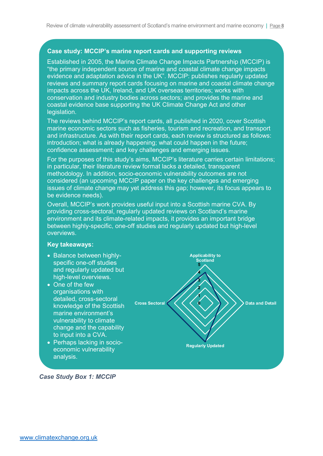## **Case study: MCCIP's marine report cards and supporting reviews**

Established in 2005, the Marine Climate Change Impacts Partnership (MCCIP) is "the primary independent source of marine and coastal climate change impacts evidence and adaptation advice in the UK". MCCIP: publishes regularly updated reviews and summary report cards focusing on marine and coastal climate change impacts across the UK, Ireland, and UK overseas territories; works with conservation and industry bodies across sectors; and provides the marine and coastal evidence base supporting the UK Climate Change Act and other legislation.

The reviews behind MCCIP's report cards, all published in 2020, cover Scottish marine economic sectors such as fisheries, tourism and recreation, and transport and infrastructure. As with their report cards, each review is structured as follows: introduction; what is already happening; what could happen in the future; confidence assessment; and key challenges and emerging issues.

For the purposes of this study's aims, MCCIP's literature carries certain limitations; in particular, their literature review format lacks a detailed, transparent methodology. In addition, socio-economic vulnerability outcomes are not considered (an upcoming MCCIP paper on the key challenges and emerging issues of climate change may yet address this gap; however, its focus appears to be evidence needs).

Overall, MCCIP's work provides useful input into a Scottish marine CVA. By providing cross-sectoral, regularly updated reviews on Scotland's marine environment and its climate-related impacts, it provides an important bridge between highly-specific, one-off studies and regularly updated but high-level overviews.

#### **Key takeaways:**

- Balance between highlyspecific one-off studies and regularly updated but high-level overviews.
- One of the few organisations with detailed, cross-sectoral knowledge of the Scottish marine environment's vulnerability to climate change and the capability to input into a CVA.
- Perhaps lacking in socioeconomic vulnerability analysis.



<span id="page-9-0"></span>*Case Study Box 1: MCCIP*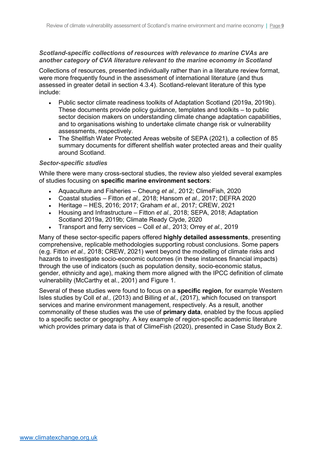## *Scotland-specific collections of resources with relevance to marine CVAs are another category of CVA literature relevant to the marine economy in Scotland*

Collections of resources, presented individually rather than in a literature review format, were more frequently found in the assessment of international literature (and thus assessed in greater detail in section 4.3.4). Scotland-relevant literature of this type include:

- Public sector climate readiness toolkits of Adaptation Scotland (2019a, 2019b). These documents provide policy guidance, templates and toolkits – to public sector decision makers on understanding climate change adaptation capabilities, and to organisations wishing to undertake climate change risk or vulnerability assessments, respectively.
- The Shellfish Water Protected Areas website of SEPA (2021), a collection of 85 summary documents for different shellfish water protected areas and their quality around Scotland.

#### *Sector-specific studies*

While there were many cross-sectoral studies, the review also yielded several examples of studies focusing on **specific marine environment sectors**:

- Aquaculture and Fisheries Cheung *et al.,* 2012; ClimeFish, 2020
- Coastal studies Fitton *et al.,* 2018; Hansom *et al.,* 2017; DEFRA 2020
- Heritage HES, 2016; 2017; Graham *et al.,* 2017; CREW, 2021
- Housing and Infrastructure Fitton *et al.,* 2018; SEPA, 2018; Adaptation Scotland 2019a, 2019b; Climate Ready Clyde, 2020
- Transport and ferry services Coll *et al.,* 2013; Orrey *et al.,* 2019

Many of these sector-specific papers offered **highly detailed assessments**, presenting comprehensive, replicable methodologies supporting robust conclusions. Some papers (e.g. Fitton *et al.,* 2018; CREW, 2021) went beyond the modelling of climate risks and hazards to investigate socio-economic outcomes (in these instances financial impacts) through the use of indicators (such as population density, socio-economic status, gender, ethnicity and age), making them more aligned with the IPCC definition of climate vulnerability (McCarthy et al., 2001) and [Figure 1.](#page-5-0)

Several of these studies were found to focus on a **specific region**, for example Western Isles studies by Coll *et al.,* (2013) and Billing *et al.,* (2017), which focused on transport services and marine environment management, respectively. As a result, another commonality of these studies was the use of **primary data**, enabled by the focus applied to a specific sector or geography. A key example of region-specific academic literature which provides primary data is that of ClimeFish (2020), presented in [Case Study Box 2.](#page-11-0)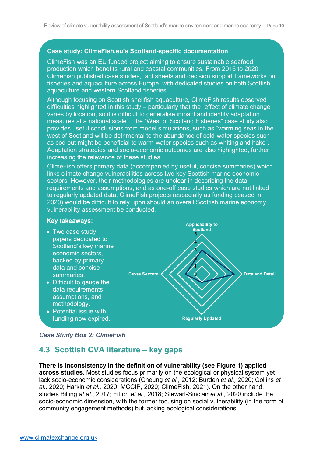#### **Case study: ClimeFish.eu's Scotland-specific documentation**

ClimeFish was an EU funded project aiming to ensure sustainable seafood production which benefits rural and coastal communities. From 2016 to 2020, ClimeFish published case studies, fact sheets and decision support frameworks on fisheries and aquaculture across Europe, with dedicated studies on both Scottish aquaculture and western Scotland fisheries.

Although focusing on Scottish shellfish aquaculture, ClimeFish results observed difficulties highlighted in this study – particularly that the "effect of climate change varies by location, so it is difficult to generalise impact and identify adaptation measures at a national scale". The "West of Scotland Fisheries" case study also provides useful conclusions from model simulations, such as "warming seas in the west of Scotland will be detrimental to the abundance of cold-water species such as cod but might be beneficial to warm-water species such as whiting and hake". Adaptation strategies and socio-economic outcomes are also highlighted, further increasing the relevance of these studies.

ClimeFish offers primary data (accompanied by useful, concise summaries) which links climate change vulnerabilities across two key Scottish marine economic sectors. However, their methodologies are unclear in describing the data requirements and assumptions, and as one-off case studies which are not linked to regularly updated data, ClimeFish projects (especially as funding ceased in 2020) would be difficult to rely upon should an overall Scottish marine economy vulnerability assessment be conducted.

#### **Key takeaways:**

- Two case study papers dedicated to Scotland's key marine economic sectors, backed by primary data and concise summaries.
- Difficult to gauge the data requirements, assumptions, and methodology.
- Potential issue with funding now expired.



#### <span id="page-11-0"></span>*Case Study Box 2: ClimeFish*

## **4.3 Scottish CVA literature – key gaps**

### **There is inconsistency in the definition of vulnerability (see [Figure 1\)](#page-5-0) applied across studies**. Most studies focus primarily on the ecological or physical system yet lack socio-economic considerations (Cheung *et al.,* 2012; Burden *et al.,* 2020; Collins *et al.,* 2020; Harkin *et al.,* 2020; MCCIP, 2020; ClimeFish, 2021). On the other hand, studies Billing *at al*., 2017; Fitton *et al.,* 2018; Stewart-Sinclair *et al.,* 2020 include the socio-economic dimension, with the former focusing on social vulnerability (in the form of community engagement methods) but lacking ecological considerations.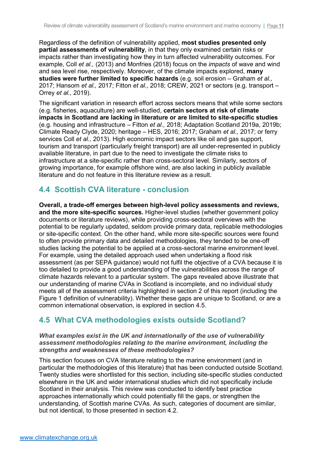Regardless of the definition of vulnerability applied, **most studies presented only partial assessments of vulnerability**, in that they only examined certain risks or impacts rather than investigating how they in turn affected vulnerability outcomes. For example, Coll *et al.,* (2013) and Monfries (2018) focus on the *impacts* of wave and wind and sea level rise, respectively. Moreover, of the climate impacts explored, **many studies were further limited to specific hazards** (e.g. soil erosion – Graham *et al.,* 2017; Hansom *et al.,* 2017; Fitton *et al.,* 2018; CREW, 2021 or sectors (e.g. transport – Orrey *et al.,* 2019).

The significant variation in research effort across sectors means that while some sectors (e.g. fisheries, aquaculture) are well-studied, **certain sectors at risk of climate impacts in Scotland are lacking in literature or are limited to site-specific studies** (e.g. housing and infrastructure – Fitton *et al.,* 2018; Adaptation Scotland 2019a, 2019b; Climate Ready Clyde, 2020; heritage – HES, 2016; 2017; Graham *et al.,* 2017; or ferry services Coll *et al.,* 2013). High economic impact sectors like oil and gas support, tourism and transport (particularly freight transport) are all under-represented in publicly available literature, in part due to the need to investigate the climate risks to infrastructure at a site-specific rather than cross-sectoral level. Similarly, sectors of growing importance, for example offshore wind, are also lacking in publicly available literature and do not feature in this literature review as a result.

## **4.4 Scottish CVA literature - conclusion**

**Overall, a trade-off emerges between high-level policy assessments and reviews, and the more site-specific sources.** Higher-level studies (whether government policy documents or literature reviews), while providing cross-sectoral overviews with the potential to be regularly updated, seldom provide primary data, replicable methodologies or site-specific context. On the other hand, while more site-specific sources were found to often provide primary data and detailed methodologies, they tended to be one-off studies lacking the potential to be applied at a cross-sectoral marine environment level. For example, using the detailed approach used when undertaking a flood risk assessment (as per SEPA guidance) would not fulfil the objective of a CVA because it is too detailed to provide a good understanding of the vulnerabilities across the range of climate hazards relevant to a particular system. The gaps revealed above illustrate that our understanding of marine CVAs in Scotland is incomplete, and no individual study meets all of the assessment criteria highlighted in section 2 of this report (including the [Figure 1](#page-5-0) definition of vulnerability). Whether these gaps are unique to Scotland, or are a common international observation, is explored in section 4.5.

## **4.5 What CVA methodologies exists outside Scotland?**

### *What examples exist in the UK and internationally of the use of vulnerability assessment methodologies relating to the marine environment, including the strengths and weaknesses of these methodologies?*

This section focuses on CVA literature relating to the marine environment (and in particular the methodologies of this literature) that has been conducted outside Scotland. Twenty studies were shortlisted for this section, including site-specific studies conducted elsewhere in the UK and wider international studies which did not specifically include Scotland in their analysis. This review was conducted to identify best practice approaches internationally which could potentially fill the gaps, or strengthen the understanding, of Scottish marine CVAs. As such, categories of document are similar, but not identical, to those presented in section 4.2.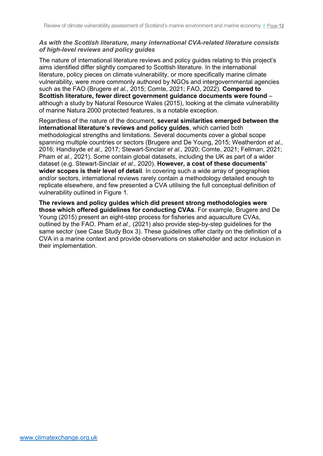### *As with the Scottish literature, many international CVA-related literature consists of high-level reviews and policy guides*

The nature of international literature reviews and policy guides relating to this project's aims identified differ slightly compared to Scottish literature. In the international literature, policy pieces on climate vulnerability, or more specifically marine climate vulnerability, were more commonly authored by NGOs and intergovernmental agencies such as the FAO (Brugere *et al.,* 2015; Comte, 2021; FAO, 2022). **Compared to Scottish literature, fewer direct government guidance documents were found** – although a study by Natural Resource Wales (2015), looking at the climate vulnerability of marine Natura 2000 protected features, is a notable exception.

Regardless of the nature of the document, **several similarities emerged between the international literature's reviews and policy guides**, which carried both methodological strengths and limitations. Several documents cover a global scope spanning multiple countries or sectors (Brugere and De Young, 2015; Weatherdon *et al.,* 2016; Handisyde *et al.,* 2017; Stewart-Sinclair *et al.,* 2020; Comte, 2021; Fellman, 2021; Pham *et al.,* 2021). Some contain global datasets, including the UK as part of a wider dataset (e.g. Stewart-Sinclair *et al.,* 2020). **However, a cost of these documents' wider scopes is their level of detail**. In covering such a wide array of geographies and/or sectors, international reviews rarely contain a methodology detailed enough to replicate elsewhere, and few presented a CVA utilising the full conceptual definition of vulnerability outlined in [Figure 1.](#page-5-0)

**The reviews and policy guides which did present strong methodologies were those which offered guidelines for conducting CVAs**. For example, Brugere and De Young (2015) present an eight-step process for fisheries and aquaculture CVAs, outlined by the FAO. Pham *et al.,* (2021) also provide step-by-step guidelines for the same sector (see [Case Study Box 3\)](#page-14-0). These guidelines offer clarity on the definition of a CVA in a marine context and provide observations on stakeholder and actor inclusion in their implementation.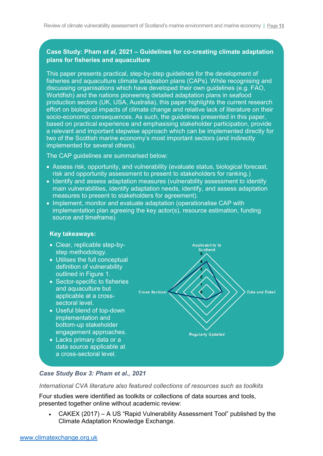## **Case Study: Pham** *et al,* **2021 – Guidelines for co-creating climate adaptation plans for fisheries and aquaculture**

This paper presents practical, step-by-step guidelines for the development of fisheries and aquaculture climate adaptation plans (CAPs). While recognising and discussing organisations which have developed their own guidelines (e.g. FAO, Worldfish) and the nations pioneering detailed adaptation plans in seafood production sectors (UK, USA, Australia), this paper highlights the current research effort on biological impacts of climate change and relative lack of literature on their socio-economic consequences. As such, the guidelines presented in this paper, based on practical experience and emphasising stakeholder participation, provide a relevant and important stepwise approach which can be implemented directly for two of the Scottish marine economy's most important sectors (and indirectly implemented for several others).

The CAP guidelines are summarised below:

- Assess risk, opportunity, and vulnerability (evaluate status, biological forecast, risk and opportunity assessment to present to stakeholders for ranking.)
- Identify and assess adaptation measures (vulnerability assessment to identify main vulnerabilities, identify adaptation needs, identify, and assess adaptation measures to present to stakeholders for agreement).
- Implement, monitor and evaluate adaptation (operationalise CAP with implementation plan agreeing the key actor(s), resource estimation, funding source and timeframe).

### **Key takeaways:**

- Clear, replicable step-bystep methodology.
- Utilises the full conceptual definition of vulnerability outlined in [Figure 1.](#page-5-0)
- Sector-specific to fisheries and aquaculture but applicable at a crosssectoral level.
- Useful blend of top-down implementation and bottom-up stakeholder engagement approaches.
- Lacks primary data or a data source applicable at a cross-sectoral level.



### <span id="page-14-0"></span>*Case Study Box 3: Pham et al., 2021*

*International CVA literature also featured collections of resources such as toolkits*

Four studies were identified as toolkits or collections of data sources and tools, presented together online without academic review:

• CAKEX (2017) – A US "Rapid Vulnerability Assessment Tool" published by the Climate Adaptation Knowledge Exchange.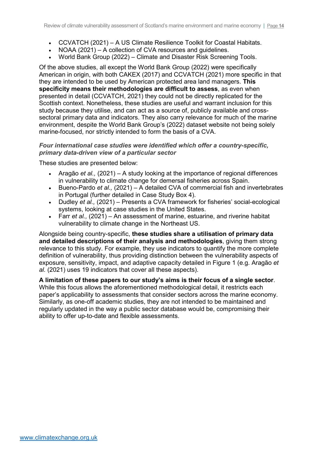- CCVATCH (2021) A US Climate Resilience Toolkit for Coastal Habitats.
- NOAA (2021) A collection of CVA resources and guidelines.
- World Bank Group (2022) Climate and Disaster Risk Screening Tools.

Of the above studies, all except the World Bank Group (2022) were specifically American in origin, with both CAKEX (2017) and CCVATCH (2021) more specific in that they are intended to be used by American protected area land managers. **This specificity means their methodologies are difficult to assess**, as even when presented in detail (CCVATCH, 2021) they could not be directly replicated for the Scottish context. Nonetheless, these studies are useful and warrant inclusion for this study because they utilise, and can act as a source of, publicly available and crosssectoral primary data and indicators. They also carry relevance for much of the marine environment, despite the World Bank Group's (2022) dataset website not being solely marine-focused, nor strictly intended to form the basis of a CVA.

#### *Four international case studies were identified which offer a country-specific, primary data-driven view of a particular sector*

These studies are presented below:

- Aragão *et al.,* (2021) A study looking at the importance of regional differences in vulnerability to climate change for demersal fisheries across Spain.
- Bueno-Pardo *et al.,* (2021) A detailed CVA of commercial fish and invertebrates in Portugal (further detailed in [Case Study Box 4\)](#page-16-0).
- Dudley *et al.,* (2021) Presents a CVA framework for fisheries' social-ecological systems, looking at case studies in the United States.
- Farr *et al.*, (2021) An assessment of marine, estuarine, and riverine habitat vulnerability to climate change in the Northeast US.

Alongside being country-specific, **these studies share a utilisation of primary data and detailed descriptions of their analysis and methodologies**, giving them strong relevance to this study. For example, they use indicators to quantify the more complete definition of vulnerability, thus providing distinction between the vulnerability aspects of exposure, sensitivity, impact, and adaptive capacity detailed in [Figure 1](#page-5-0) (e.g. Aragão *et al.* (2021) uses 19 indicators that cover all these aspects).

**A limitation of these papers to our study's aims is their focus of a single sector**. While this focus allows the aforementioned methodological detail, it restricts each paper's applicability to assessments that consider sectors across the marine economy. Similarly, as one-off academic studies, they are not intended to be maintained and regularly updated in the way a public sector database would be, compromising their ability to offer up-to-date and flexible assessments.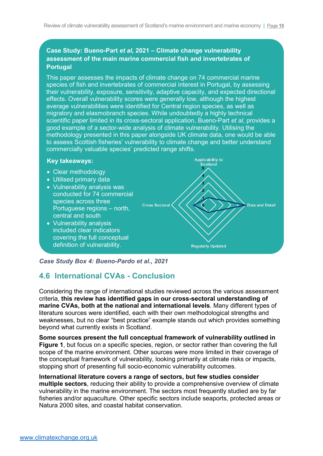## **Case Study: Bueno-Part** *et al,* **2021 – Climate change vulnerability assessment of the main marine commercial fish and invertebrates of Portugal**

This paper assesses the impacts of climate change on 74 commercial marine species of fish and invertebrates of commercial interest in Portugal, by assessing their vulnerability, exposure, sensitivity, adaptive capacity, and expected directional effects. Overall vulnerability scores were generally low, although the highest average vulnerabilities were identified for Central region species, as well as migratory and elasmobranch species. While undoubtedly a highly technical scientific paper limited in its cross-sectoral application, Bueno-Part *et al,* provides a good example of a sector-wide analysis of climate vulnerability. Utilising the methodology presented in this paper alongside UK climate data, one would be able to assess Scottish fisheries' vulnerability to climate change and better understand commercially valuable species' predicted range shifts.

### **Key takeaways:**

- Clear methodology
- Utilised primary data
- Vulnerability analysis was conducted for 74 commercial species across three Portuguese regions – north, central and south
- Vulnerability analysis included clear indicators covering the full conceptual definition of vulnerability.

**Applicability to** Scotland r, Cross Sectoral **Data and Detail Regularly Updated** 

#### <span id="page-16-0"></span>*Case Study Box 4: Bueno-Pardo et al., 2021*

## **4.6 International CVAs - Conclusion**

Considering the range of international studies reviewed across the various assessment criteria, **this review has identified gaps in our cross-sectoral understanding of marine CVAs, both at the national and international levels**. Many different types of literature sources were identified, each with their own methodological strengths and weaknesses, but no clear "best practice" example stands out which provides something beyond what currently exists in Scotland.

**Some sources present the full conceptual framework of vulnerability outlined in [Figure 1](#page-5-0)**, but focus on a specific species, region, or sector rather than covering the full scope of the marine environment. Other sources were more limited in their coverage of the conceptual framework of vulnerability, looking primarily at climate risks or impacts, stopping short of presenting full socio-economic vulnerability outcomes.

### **International literature covers a range of sectors, but few studies consider multiple sectors**, reducing their ability to provide a comprehensive overview of climate vulnerability in the marine environment. The sectors most frequently studied are by far fisheries and/or aquaculture. Other specific sectors include seaports, protected areas or Natura 2000 sites, and coastal habitat conservation.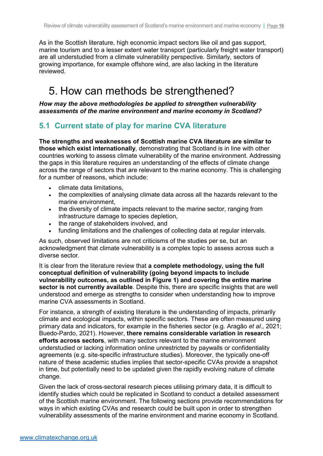As in the Scottish literature, high economic impact sectors like oil and gas support, marine tourism and to a lesser extent water transport (particularly freight water transport) are all understudied from a climate vulnerability perspective. Similarly, sectors of growing importance, for example offshore wind, are also lacking in the literature reviewed.

## 5. How can methods be strengthened?

*How may the above methodologies be applied to strengthen vulnerability assessments of the marine environment and marine economy in Scotland?* 

## **5.1 Current state of play for marine CVA literature**

**The strengths and weaknesses of Scottish marine CVA literature are similar to those which exist internationally**, demonstrating that Scotland is in line with other countries working to assess climate vulnerability of the marine environment. Addressing the gaps in this literature requires an understanding of the effects of climate change across the range of sectors that are relevant to the marine economy. This is challenging for a number of reasons, which include:

- climate data limitations,
- the complexities of analysing climate data across all the hazards relevant to the marine environment,
- the diversity of climate impacts relevant to the marine sector, ranging from infrastructure damage to species depletion,
- the range of stakeholders involved, and
- funding limitations and the challenges of collecting data at regular intervals.

As such, observed limitations are not criticisms of the studies per se, but an acknowledgment that climate vulnerability is a complex topic to assess across such a diverse sector.

It is clear from the literature review that **a complete methodology, using the full conceptual definition of vulnerability (going beyond impacts to include vulnerability outcomes, as outlined in [Figure 1\)](#page-5-0) and covering the entire marine sector is not currently available**. Despite this, there are specific insights that are well understood and emerge as strengths to consider when understanding how to improve marine CVA assessments in Scotland.

For instance, a strength of existing literature is the understanding of impacts, primarily climate and ecological impacts, within specific sectors. These are often measured using primary data and indicators, for example in the fisheries sector (e.g. Aragão *et al.,* 2021; Buedo-Pardo, 2021). However, **there remains considerable variation in research efforts across sectors**, with many sectors relevant to the marine environment understudied or lacking information online unrestricted by paywalls or confidentiality agreements (e.g. site-specific infrastructure studies). Moreover, the typically one-off nature of these academic studies implies that sector-specific CVAs provide a snapshot in time, but potentially need to be updated given the rapidly evolving nature of climate change.

Given the lack of cross-sectoral research pieces utilising primary data, it is difficult to identify studies which could be replicated in Scotland to conduct a detailed assessment of the Scottish marine environment. The following sections provide recommendations for ways in which existing CVAs and research could be built upon in order to strengthen vulnerability assessments of the marine environment and marine economy in Scotland.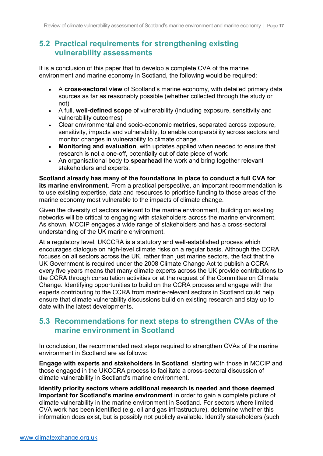## **5.2 Practical requirements for strengthening existing vulnerability assessments**

It is a conclusion of this paper that to develop a complete CVA of the marine environment and marine economy in Scotland, the following would be required:

- A **cross-sectoral view** of Scotland's marine economy, with detailed primary data sources as far as reasonably possible (whether collected through the study or not)
- A full, **well-defined scope** of vulnerability (including exposure, sensitivity and vulnerability outcomes)
- Clear environmental and socio-economic **metrics**, separated across exposure, sensitivity, impacts and vulnerability, to enable comparability across sectors and monitor changes in vulnerability to climate change.
- **Monitoring and evaluation**, with updates applied when needed to ensure that research is not a one-off, potentially out of date piece of work.
- An organisational body to **spearhead** the work and bring together relevant stakeholders and experts.

**Scotland already has many of the foundations in place to conduct a full CVA for its marine environment**. From a practical perspective, an important recommendation is to use existing expertise, data and resources to prioritise funding to those areas of the marine economy most vulnerable to the impacts of climate change.

Given the diversity of sectors relevant to the marine environment, building on existing networks will be critical to engaging with stakeholders across the marine environment. As shown, MCCIP engages a wide range of stakeholders and has a cross-sectoral understanding of the UK marine environment.

At a regulatory level, UKCCRA is a statutory and well-established process which encourages dialogue on high-level climate risks on a regular basis. Although the CCRA focuses on all sectors across the UK, rather than just marine sectors, the fact that the UK Government is required under the 2008 Climate Change Act to publish a CCRA every five years means that many climate experts across the UK provide contributions to the CCRA through consultation activities or at the request of the Committee on Climate Change. Identifying opportunities to build on the CCRA process and engage with the experts contributing to the CCRA from marine-relevant sectors in Scotland could help ensure that climate vulnerability discussions build on existing research and stay up to date with the latest developments.

## **5.3 Recommendations for next steps to strengthen CVAs of the marine environment in Scotland**

In conclusion, the recommended next steps required to strengthen CVAs of the marine environment in Scotland are as follows:

**Engage with experts and stakeholders in Scotland**, starting with those in MCCIP and those engaged in the UKCCRA process to facilitate a cross-sectoral discussion of climate vulnerability in Scotland's marine environment.

**Identify priority sectors where additional research is needed and those deemed important for Scotland's marine environment** in order to gain a complete picture of climate vulnerability in the marine environment in Scotland. For sectors where limited CVA work has been identified (e.g. oil and gas infrastructure), determine whether this information does exist, but is possibly not publicly available. Identify stakeholders (such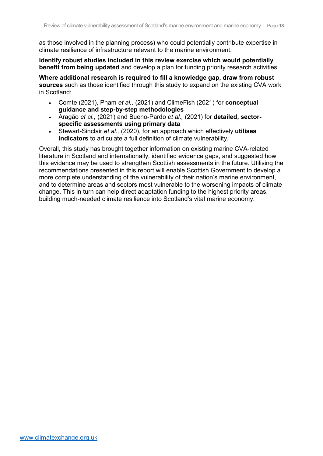as those involved in the planning process) who could potentially contribute expertise in climate resilience of infrastructure relevant to the marine environment.

**Identify robust studies included in this review exercise which would potentially benefit from being updated** and develop a plan for funding priority research activities.

**Where additional research is required to fill a knowledge gap, draw from robust sources** such as those identified through this study to expand on the existing CVA work in Scotland:

- Comte (2021), Pham *et al.,* (2021) and ClimeFish (2021) for **conceptual guidance and step-by-step methodologies**
- Aragão *et al.,* (2021) and Bueno-Pardo *et al.,* (2021) for **detailed, sectorspecific assessments using primary data**
- Stewart-Sinclair *et al.,* (2020), for an approach which effectively **utilises indicators** to articulate a full definition of climate vulnerability.

Overall, this study has brought together information on existing marine CVA-related literature in Scotland and internationally, identified evidence gaps, and suggested how this evidence may be used to strengthen Scottish assessments in the future. Utilising the recommendations presented in this report will enable Scottish Government to develop a more complete understanding of the vulnerability of their nation's marine environment, and to determine areas and sectors most vulnerable to the worsening impacts of climate change. This in turn can help direct adaptation funding to the highest priority areas, building much-needed climate resilience into Scotland's vital marine economy.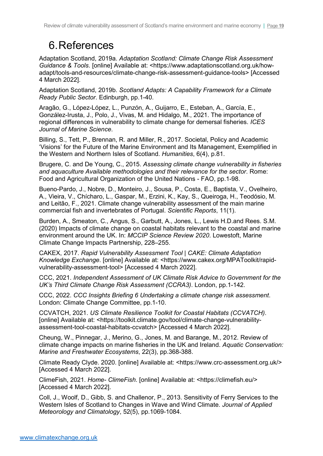# 6.References

Adaptation Scotland, 2019a. *Adaptation Scotland: Climate Change Risk Assessment Guidance & Tools*. [online] Available at: <https://www.adaptationscotland.org.uk/howadapt/tools-and-resources/climate-change-risk-assessment-guidance-tools> [Accessed 4 March 2022].

Adaptation Scotland, 2019b. *Scotland Adapts: A Capability Framework for a Climate Ready Public Sector*. Edinburgh, pp.1-40.

Aragão, G., López-López, L., Punzón, A., Guijarro, E., Esteban, A., García, E., González-Irusta, J., Polo, J., Vivas, M. and Hidalgo, M., 2021. The importance of regional differences in vulnerability to climate change for demersal fisheries. *ICES Journal of Marine Science*.

Billing, S., Tett, P., Brennan, R. and Miller, R., 2017. Societal, Policy and Academic 'Visions' for the Future of the Marine Environment and Its Management, Exemplified in the Western and Northern Isles of Scotland. *Humanities*, 6(4), p.81.

Brugere, C. and De Young, C., 2015. *Assessing climate change vulnerability in fisheries and aquaculture Available methodologies and their relevance for the sector*. Rome: Food and Agricultural Organization of the United Nations - FAO, pp.1-98.

Bueno-Pardo, J., Nobre, D., Monteiro, J., Sousa, P., Costa, E., Baptista, V., Ovelheiro, A., Vieira, V., Chícharo, L., Gaspar, M., Erzini, K., Kay, S., Queiroga, H., Teodósio, M. and Leitão, F., 2021. Climate change vulnerability assessment of the main marine commercial fish and invertebrates of Portugal. *Scientific Reports*, 11(1).

Burden, A., Smeaton, C., Angus, S., Garbutt, A., Jones, L., Lewis H.D.and Rees. S.M. (2020) Impacts of climate change on coastal habitats relevant to the coastal and marine environment around the UK. In: *MCCIP Science Review 2020*. Lowestoft, Marine Climate Change Impacts Partnership, 228–255.

CAKEX, 2017. *Rapid Vulnerability Assessment Tool | CAKE: Climate Adaptation Knowledge Exchange*. [online] Available at: <https://www.cakex.org/MPAToolkit/rapidvulnerability-assessment-tool> [Accessed 4 March 2022].

CCC, 2021. *Independent Assessment of UK Climate Risk Advice to Government for the UK's Third Climate Change Risk Assessment (CCRA3)*. London, pp.1-142.

CCC, 2022. *CCC Insights Briefing 6 Undertaking a climate change risk assessment*. London: Climate Change Committee, pp.1-10.

CCVATCH, 2021. *US Climate Resilience Toolkit for Coastal Habitats (CCVATCH)*. [online] Available at: <https://toolkit.climate.gov/tool/climate-change-vulnerabilityassessment-tool-coastal-habitats-ccvatch> [Accessed 4 March 2022].

Cheung, W., Pinnegar, J., Merino, G., Jones, M. and Barange, M., 2012. Review of climate change impacts on marine fisheries in the UK and Ireland. *Aquatic Conservation: Marine and Freshwater Ecosystems*, 22(3), pp.368-388.

Climate Ready Clyde. 2020. [online] Available at: <https://www.crc-assessment.org.uk/> [Accessed 4 March 2022].

ClimeFish, 2021. *Home- ClimeFish*. [online] Available at: <https://climefish.eu/> [Accessed 4 March 2022].

Coll, J., Woolf, D., Gibb, S. and Challenor, P., 2013. Sensitivity of Ferry Services to the Western Isles of Scotland to Changes in Wave and Wind Climate. *Journal of Applied Meteorology and Climatology*, 52(5), pp.1069-1084.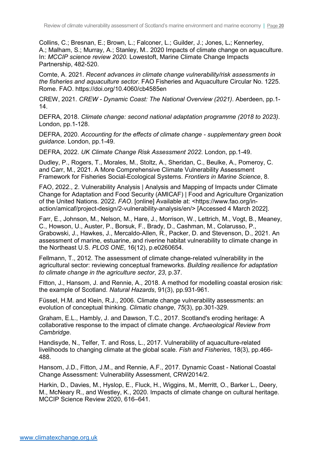Collins, C.; Bresnan, E.; Brown, L.; Falconer, L.; Guilder, J.; Jones, L**.**; Kennerley, A.; Malham, S.; Murray, A.; Stanley, M.. 2020 Impacts of climate change on aquaculture. In: *MCCIP science review 2020.* Lowestoft, Marine Climate Change Impacts Partnership, 482-520.

Comte, A. 2021. *Recent advances in climate change vulnerability/risk assessments in the fisheries and aquaculture sector*. FAO Fisheries and Aquaculture Circular No. 1225. Rome. FAO. https://doi.org/10.4060/cb4585en

CREW, 2021. *CREW - Dynamic Coast: The National Overview (2021)*. Aberdeen, pp.1- 14.

DEFRA, 2018. *Climate change: second national adaptation programme (2018 to 2023)*. London, pp.1-128.

DEFRA, 2020. *Accounting for the effects of climate change - supplementary green book guidance*. London, pp.1-49.

DEFRA, 2022. *UK Climate Change Risk Assessment 2022*. London, pp.1-49.

Dudley, P., Rogers, T., Morales, M., Stoltz, A., Sheridan, C., Beulke, A., Pomeroy, C. and Carr, M., 2021. A More Comprehensive Climate Vulnerability Assessment Framework for Fisheries Social-Ecological Systems. *Frontiers in Marine Science*, 8.

FAO, 2022., 2. Vulnerability Analysis | Analysis and Mapping of Impacts under Climate Change for Adaptation and Food Security (AMICAF) | Food and Agriculture Organization of the United Nations. 2022. *FAO*. [online] Available at: <https://www.fao.org/inaction/amicaf/project-design/2-vulnerability-analysis/en/> [Accessed 4 March 2022].

Farr, E., Johnson, M., Nelson, M., Hare, J., Morrison, W., Lettrich, M., Vogt, B., Meaney, C., Howson, U., Auster, P., Borsuk, F., Brady, D., Cashman, M., Colarusso, P., Grabowski, J., Hawkes, J., Mercaldo-Allen, R., Packer, D. and Stevenson, D., 2021. An assessment of marine, estuarine, and riverine habitat vulnerability to climate change in the Northeast U.S. *PLOS ONE*, 16(12), p.e0260654.

Fellmann, T., 2012. The assessment of climate change-related vulnerability in the agricultural sector: reviewing conceptual frameworks. *Building resilience for adaptation to climate change in the agriculture sector*, *23*, p.37.

Fitton, J., Hansom, J. and Rennie, A., 2018. A method for modelling coastal erosion risk: the example of Scotland. *Natural Hazards*, 91(3), pp.931-961.

Füssel, H.M. and Klein, R.J., 2006. Climate change vulnerability assessments: an evolution of conceptual thinking. *Climatic change*, *75*(3), pp.301-329.

Graham, E.L., Hambly, J. and Dawson, T.C., 2017. Scotland's eroding heritage: A collaborative response to the impact of climate change. *Archaeological Review from Cambridge*.

Handisyde, N., Telfer, T. and Ross, L., 2017. Vulnerability of aquaculture-related livelihoods to changing climate at the global scale. *Fish and Fisheries*, 18(3), pp.466- 488.

Hansom, J.D., Fitton, J.M., and Rennie, A.F., 2017. Dynamic Coast - National Coastal Change Assessment: Vulnerability Assessment, CRW2014/2.

Harkin, D., Davies, M., Hyslop, E., Fluck, H., Wiggins, M., Merritt, O., Barker L., Deery, M., McNeary R., and Westley, K., 2020. Impacts of climate change on cultural heritage. MCCIP Science Review 2020, 616–641.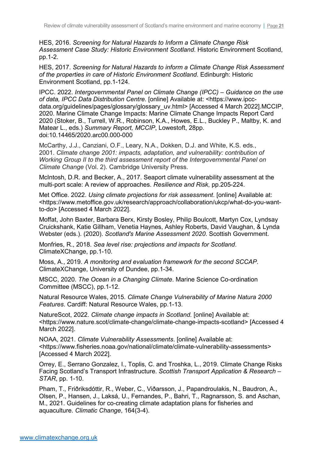HES, 2016. *Screening for Natural Hazards to Inform a Climate Change Risk Assessment Case Study: Historic Environment Scotland*. Historic Environment Scotland, pp.1-2.

HES, 2017. *Screening for Natural Hazards to inform a Climate Change Risk Assessment of the properties in care of Historic Environment Scotland*. Edinburgh: Historic Environment Scotland, pp.1-124.

IPCC. 2022. *Intergovernmental Panel on Climate Change (IPCC) – Guidance on the use of data, IPCC Data Distribution Centre*. [online] Available at: <https://www.ipccdata.org/guidelines/pages/glossary/glossary\_uv.html> [Accessed 4 March 2022].MCCIP, 2020. Marine Climate Change Impacts: Marine Climate Change Impacts Report Card 2020 (Stoker, B., Turrell, W.R., Robinson, K.A., Howes, E.L., Buckley P., Maltby, K. and Matear L., eds.) *Summary Report, MCCIP*, Lowestoft, 28pp. doi:10.14465/2020.arc00.000-000

McCarthy, J.J., Canziani, O.F., Leary, N.A., Dokken, D.J. and White, K.S. eds., 2001. *Climate change 2001: impacts, adaptation, and vulnerability: contribution of Working Group II to the third assessment report of the Intergovernmental Panel on Climate Change* (Vol. 2). Cambridge University Press.

McIntosh, D.R. and Becker, A., 2017. Seaport climate vulnerability assessment at the multi-port scale: A review of approaches. *Resilience and Risk*, pp.205-224.

Met Office. 2022. *Using climate projections for risk assessment*. [online] Available at: <https://www.metoffice.gov.uk/research/approach/collaboration/ukcp/what-do-you-wantto-do> [Accessed 4 March 2022].

Moffat, John Baxter, Barbara Berx, Kirsty Bosley, Philip Boulcott, Martyn Cox, Lyndsay Cruickshank, Katie Gillham, Venetia Haynes, Ashley Roberts, David Vaughan, & Lynda Webster (eds.). (2020). *Scotland's Marine Assessment 2020*. Scottish Government.

Monfries, R., 2018. *Sea level rise: projections and impacts for Scotland*. ClimateXChange, pp.1-10.

Moss, A., 2019. *A monitoring and evaluation framework for the second SCCAP*. ClimateXChange, University of Dundee, pp.1-34.

MSCC, 2020. *The Ocean in a Changing Climate*. Marine Science Co-ordination Committee (MSCC), pp.1-12.

Natural Resource Wales, 2015. *Climate Change Vulnerability of Marine Natura 2000 Features*. Cardiff: Natural Resource Wales, pp.1-13.

NatureScot, 2022. *Climate change impacts in Scotland.* [online] Available at: <https://www.nature.scot/climate-change/climate-change-impacts-scotland> [Accessed 4 March 2022].

NOAA, 2021. *Climate Vulnerability Assessments*. [online] Available at: <https://www.fisheries.noaa.gov/national/climate/climate-vulnerability-assessments> [Accessed 4 March 2022].

Orrey, E., Serrano Gonzalez, I., Toplis, C. and Troshka, L., 2019. Climate Change Risks Facing Scotland's Transport Infrastructure. *Scottish Transport Application & Research – STAR*, pp. 1-10.

Pham, T., Friðriksdóttir, R., Weber, C., Viðarsson, J., Papandroulakis, N., Baudron, A., Olsen, P., Hansen, J., Laksá, U., Fernandes, P., Bahri, T., Ragnarsson, S. and Aschan, M., 2021. Guidelines for co-creating climate adaptation plans for fisheries and aquaculture. *Climatic Change*, 164(3-4).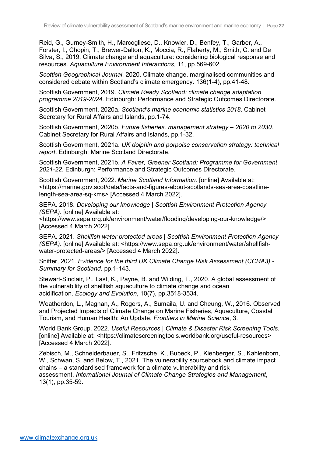Reid, G., Gurney-Smith, H., Marcogliese, D., Knowler, D., Benfey, T., Garber, A., Forster, I., Chopin, T., Brewer-Dalton, K., Moccia, R., Flaherty, M., Smith, C. and De Silva, S., 2019. Climate change and aquaculture: considering biological response and resources. *Aquaculture Environment Interactions*, 11, pp.569-602.

*Scottish Geographical Journal*, 2020. Climate change, marginalised communities and considered debate within Scotland's climate emergency. 136(1-4), pp.41-48.

Scottish Government, 2019. *Climate Ready Scotland: climate change adaptation programme 2019-2024*. Edinburgh: Performance and Strategic Outcomes Directorate.

Scottish Government, 2020a. *Scotland's marine economic statistics 2018*. Cabinet Secretary for Rural Affairs and Islands, pp.1-74.

Scottish Government, 2020b. *Future fisheries, management strategy – 2020 to 2030.*  Cabinet Secretary for Rural Affairs and Islands, pp.1-32.

Scottish Government, 2021a. *UK dolphin and porpoise conservation strategy: technical report*. Edinburgh: Marine Scotland Directorate.

Scottish Government, 2021b. *A Fairer, Greener Scotland: Programme for Government 2021-22*. Edinburgh: Performance and Strategic Outcomes Directorate.

Scottish Government, 2022. *Marine Scotland Information*. [online] Available at: <https://marine.gov.scot/data/facts-and-figures-about-scotlands-sea-area-coastlinelength-sea-area-sq-kms> [Accessed 4 March 2022].

SEPA. 2018. *Developing our knowledge | Scottish Environment Protection Agency (SEPA)*. [online] Available at:

<https://www.sepa.org.uk/environment/water/flooding/developing-our-knowledge/> [Accessed 4 March 2022].

SEPA. 2021. *Shellfish water protected areas | Scottish Environment Protection Agency (SEPA)*. [online] Available at: <https://www.sepa.org.uk/environment/water/shellfishwater-protected-areas/> [Accessed 4 March 2022].

Sniffer, 2021. *Evidence for the third UK Climate Change Risk Assessment (CCRA3) - Summary for Scotland*. pp.1-143.

Stewart‐Sinclair, P., Last, K., Payne, B. and Wilding, T., 2020. A global assessment of the vulnerability of shellfish aquaculture to climate change and ocean acidification. *Ecology and Evolution*, 10(7), pp.3518-3534.

Weatherdon, L., Magnan, A., Rogers, A., Sumaila, U. and Cheung, W., 2016. Observed and Projected Impacts of Climate Change on Marine Fisheries, Aquaculture, Coastal Tourism, and Human Health: An Update. *Frontiers in Marine Science*, 3.

World Bank Group. 2022. *Useful Resources | Climate & Disaster Risk Screening Tools*. [online] Available at: <https://climatescreeningtools.worldbank.org/useful-resources> [Accessed 4 March 2022].

Zebisch, M., Schneiderbauer, S., Fritzsche, K., Bubeck, P., Kienberger, S., Kahlenborn, W., Schwan, S. and Below, T., 2021. The vulnerability sourcebook and climate impact chains – a standardised framework for a climate vulnerability and risk assessment. *International Journal of Climate Change Strategies and Management*, 13(1), pp.35-59.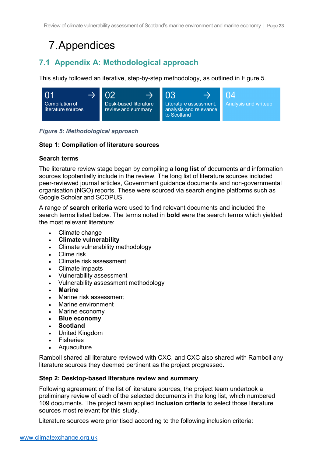# 7.Appendices

## <span id="page-24-0"></span>**7.1 Appendix A: Methodological approach**

This study followed an iterative, step-by-step methodology, as outlined in [Figure 5.](#page-24-1)



<span id="page-24-1"></span>*Figure 5: Methodological approach*

## **Step 1: Compilation of literature sources**

## **Search terms**

The literature review stage began by compiling a **long list** of documents and information sources topotentially include in the review. The long list of literature sources included peer-reviewed journal articles, Government guidance documents and non-governmental organisation (NGO) reports. These were sourced via search engine platforms such as Google Scholar and SCOPUS.

A range of **search criteria** were used to find relevant documents and included the search terms listed below. The terms noted in **bold** were the search terms which yielded the most relevant literature:

- Climate change
- **Climate vulnerability**
- Climate vulnerability methodology
- Clime risk
- Climate risk assessment
- Climate impacts
- Vulnerability assessment
- Vulnerability assessment methodology
- **Marine**
- Marine risk assessment
- Marine environment
- Marine economy
- **Blue economy**
- **Scotland**
- United Kingdom
- **Fisheries**
- **Aquaculture**

Ramboll shared all literature reviewed with CXC, and CXC also shared with Ramboll any literature sources they deemed pertinent as the project progressed.

## **Step 2: Desktop-based literature review and summary**

Following agreement of the list of literature sources, the project team undertook a preliminary review of each of the selected documents in the long list, which numbered 109 documents. The project team applied **inclusion criteria** to select those literature sources most relevant for this study.

Literature sources were prioritised according to the following inclusion criteria: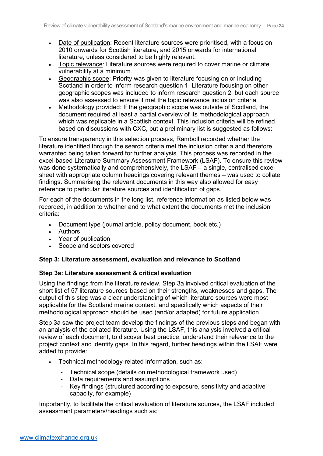- Date of publication: Recent literature sources were prioritised, with a focus on 2010 onwards for Scottish literature, and 2015 onwards for international literature, unless considered to be highly relevant.
- Topic relevance: Literature sources were required to cover marine or climate vulnerability at a minimum.
- Geographic scope: Priority was given to literature focusing on or including Scotland in order to inform research question 1. Literature focusing on other geographic scopes was included to inform research question 2, but each source was also assessed to ensure it met the topic relevance inclusion criteria.
- Methodology provided: If the geographic scope was outside of Scotland, the document required at least a partial overview of its methodological approach which was replicable in a Scottish context. This inclusion criteria will be refined based on discussions with CXC, but a preliminary list is suggested as follows:

To ensure transparency in this selection process, Ramboll recorded whether the literature identified through the search criteria met the inclusion criteria and therefore warranted being taken forward for further analysis. This process was recorded in the excel-based Literature Summary Assessment Framework (LSAF). To ensure this review was done systematically and comprehensively, the LSAF – a single, centralised excel sheet with appropriate column headings covering relevant themes – was used to collate findings. Summarising the relevant documents in this way also allowed for easy reference to particular literature sources and identification of gaps.

For each of the documents in the long list, reference information as listed below was recorded, in addition to whether and to what extent the documents met the inclusion criteria:

- Document type (journal article, policy document, book etc.)
- Authors
- Year of publication
- Scope and sectors covered

### **Step 3: Literature assessment, evaluation and relevance to Scotland**

### **Step 3a: Literature assessment & critical evaluation**

Using the findings from the literature review, Step 3a involved critical evaluation of the short list of 57 literature sources based on their strengths, weaknesses and gaps. The output of this step was a clear understanding of which literature sources were most applicable for the Scotland marine context, and specifically which aspects of their methodological approach should be used (and/or adapted) for future application.

Step 3a saw the project team develop the findings of the previous steps and began with an analysis of the collated literature. Using the LSAF, this analysis involved a critical review of each document, to discover best practice, understand their relevance to the project context and identify gaps. In this regard, further headings within the LSAF were added to provide:

- Technical methodology-related information, such as:
	- Technical scope (details on methodological framework used)
	- Data requirements and assumptions
	- Key findings (structured according to exposure, sensitivity and adaptive capacity, for example)

Importantly, to facilitate the critical evaluation of literature sources, the LSAF included assessment parameters/headings such as: